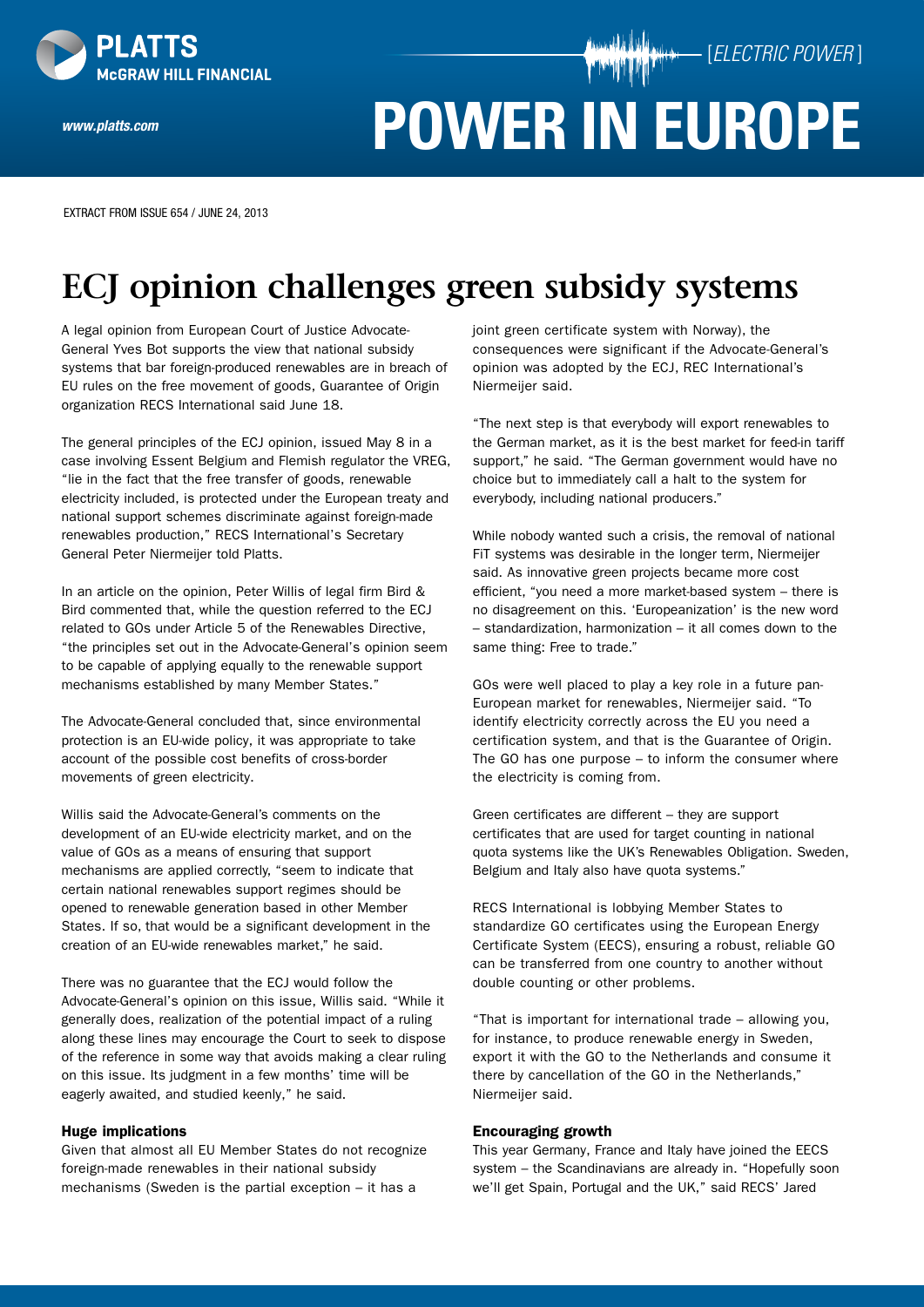

*www.platts.com*

**POWER IN EUROPE**

[*ELECTRIC POWER* ]

EXTRACT FROM Issue 654 / June 24, 2013

# **ECJ opinion challenges green subsidy systems**

A legal opinion from European Court of Justice Advocate-General Yves Bot supports the view that national subsidy systems that bar foreign-produced renewables are in breach of EU rules on the free movement of goods, Guarantee of Origin organization RECS International said June 18.

The general principles of the ECJ opinion, issued May 8 in a case involving Essent Belgium and Flemish regulator the VREG, "lie in the fact that the free transfer of goods, renewable electricity included, is protected under the European treaty and national support schemes discriminate against foreign-made renewables production," RECS International's Secretary General Peter Niermeijer told Platts.

In an article on the opinion, Peter Willis of legal firm Bird & Bird commented that, while the question referred to the ECJ related to GOs under Article 5 of the Renewables Directive, "the principles set out in the Advocate-General's opinion seem to be capable of applying equally to the renewable support mechanisms established by many Member States."

The Advocate-General concluded that, since environmental protection is an EU-wide policy, it was appropriate to take account of the possible cost benefits of cross-border movements of green electricity.

Willis said the Advocate-General's comments on the development of an EU-wide electricity market, and on the value of GOs as a means of ensuring that support mechanisms are applied correctly, "seem to indicate that certain national renewables support regimes should be opened to renewable generation based in other Member States. If so, that would be a significant development in the creation of an EU-wide renewables market," he said.

There was no guarantee that the ECJ would follow the Advocate-General's opinion on this issue, Willis said. "While it generally does, realization of the potential impact of a ruling along these lines may encourage the Court to seek to dispose of the reference in some way that avoids making a clear ruling on this issue. Its judgment in a few months' time will be eagerly awaited, and studied keenly," he said.

### Huge implications

Given that almost all EU Member States do not recognize foreign-made renewables in their national subsidy mechanisms (Sweden is the partial exception – it has a

joint green certificate system with Norway), the consequences were significant if the Advocate-General's opinion was adopted by the ECJ, REC International's Niermeijer said.

"The next step is that everybody will export renewables to the German market, as it is the best market for feed-in tariff support," he said. "The German government would have no choice but to immediately call a halt to the system for everybody, including national producers."

While nobody wanted such a crisis, the removal of national FiT systems was desirable in the longer term, Niermeijer said. As innovative green projects became more cost efficient, "you need a more market-based system – there is no disagreement on this. 'Europeanization' is the new word – standardization, harmonization – it all comes down to the same thing: Free to trade."

GOs were well placed to play a key role in a future pan-European market for renewables, Niermeijer said. "To identify electricity correctly across the EU you need a certification system, and that is the Guarantee of Origin. The GO has one purpose – to inform the consumer where the electricity is coming from.

Green certificates are different – they are support certificates that are used for target counting in national quota systems like the UK's Renewables Obligation. Sweden, Belgium and Italy also have quota systems."

RECS International is lobbying Member States to standardize GO certificates using the European Energy Certificate System (EECS), ensuring a robust, reliable GO can be transferred from one country to another without double counting or other problems.

"That is important for international trade – allowing you, for instance, to produce renewable energy in Sweden, export it with the GO to the Netherlands and consume it there by cancellation of the GO in the Netherlands," Niermeijer said.

### Encouraging growth

This year Germany, France and Italy have joined the EECS system – the Scandinavians are already in. "Hopefully soon we'll get Spain, Portugal and the UK," said RECS' Jared